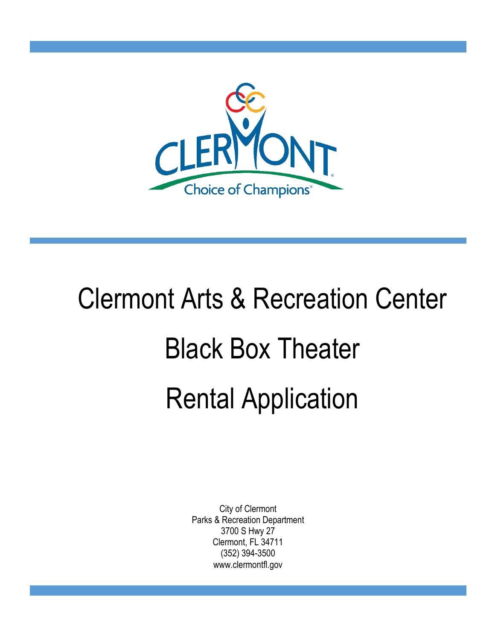

# Clermont Arts & Recreation Center Black Box Theater Rental Application

City of Clermont Parks & Recreation Department 3700 S Hwy 27 Clermont, FL 34711 (352) 394-3500 www.clermontfl.gov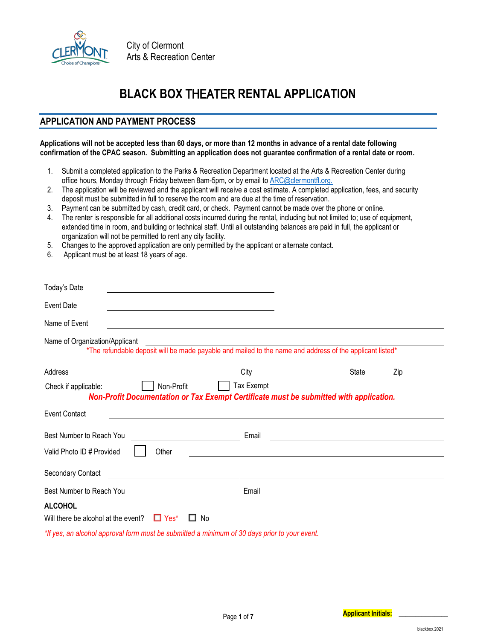

## **BLACK BOX** THEATER **RENTAL APPLICATION**

## **APPLICATION AND PAYMENT PROCESS**

#### **Applications will not be accepted less than 60 days, or more than 12 months in advance of a rental date following confirmation of the CPAC season. Submitting an application does not guarantee confirmation of a rental date or room.**

- 1. Submit a completed application to the Parks & Recreation Department located at the Arts & Recreation Center during office hours, Monday through Friday between 8am-5pm, or by email to [ARC@clermontfl.org.](mailto:ARC@clermontfl.org)
- 2. The application will be reviewed and the applicant will receive a cost estimate. A completed application, fees, and security deposit must be submitted in full to reserve the room and are due at the time of reservation.
- 3. Payment can be submitted by cash, credit card, or check. Payment cannot be made over the phone or online.
- 4. The renter is responsible for all additional costs incurred during the rental, including but not limited to; use of equipment, extended time in room, and building or technical staff. Until all outstanding balances are paid in full, the applicant or organization will not be permitted to rent any city facility.
- 5. Changes to the approved application are only permitted by the applicant or alternate contact.
- 6. Applicant must be at least 18 years of age.

| Today's Date                                                                                                                                           |                                                                                                                                  |                                                                                                                      |     |
|--------------------------------------------------------------------------------------------------------------------------------------------------------|----------------------------------------------------------------------------------------------------------------------------------|----------------------------------------------------------------------------------------------------------------------|-----|
| <b>Event Date</b>                                                                                                                                      |                                                                                                                                  |                                                                                                                      |     |
| Name of Event                                                                                                                                          | and the control of the control of the control of the control of the control of the control of the control of the                 |                                                                                                                      |     |
| Name of Organization/Applicant                                                                                                                         | rinzation/Applicarit<br>*The refundable deposit will be made payable and mailed to the name and address of the applicant listed* |                                                                                                                      |     |
| Address<br><u> 1989 - Johann Stein, mars an deus an deus Amerikaanse komme van de Fryske komme en oantale</u>                                          | City                                                                                                                             | State                                                                                                                | Zip |
| Non-Profit<br>Check if applicable:                                                                                                                     | Tax Exempt<br>Non-Profit Documentation or Tax Exempt Certificate must be submitted with application.                             |                                                                                                                      |     |
| <b>Event Contact</b>                                                                                                                                   | <u> 1989 - Johann Stoff, deutscher Stoffen und der Stoffen und der Stoffen und der Stoffen und der Stoffen und de</u>            |                                                                                                                      |     |
| Best Number to Reach You                                                                                                                               | Email                                                                                                                            | <u> 1980 - Johann Barn, mars ann an t-Amhain Aonaich an t-Aonaich an t-Aonaich ann an t-Aonaich ann an t-Aonaich</u> |     |
| Valid Photo ID # Provided<br>Other                                                                                                                     | <u> 1989 - Johann Stein, mars an deutscher Stein († 1989)</u>                                                                    |                                                                                                                      |     |
| Secondary Contact                                                                                                                                      | <u> 1980 - Jan Barbara Barat, margaret eta politikaria (h. 1908).</u>                                                            |                                                                                                                      |     |
| Best Number to Reach You<br><u> and the manufacture of</u> the manufacture of the manufacture of the manufacture of the manufacture of the manufacture | Email                                                                                                                            |                                                                                                                      |     |
| <b>ALCOHOL</b><br>Will there be alcohol at the event? $\Box$ Yes*                                                                                      | <b>No</b>                                                                                                                        |                                                                                                                      |     |
| *If yes, an alcohol approval form must be submitted a minimum of 30 days prior to your event.                                                          |                                                                                                                                  |                                                                                                                      |     |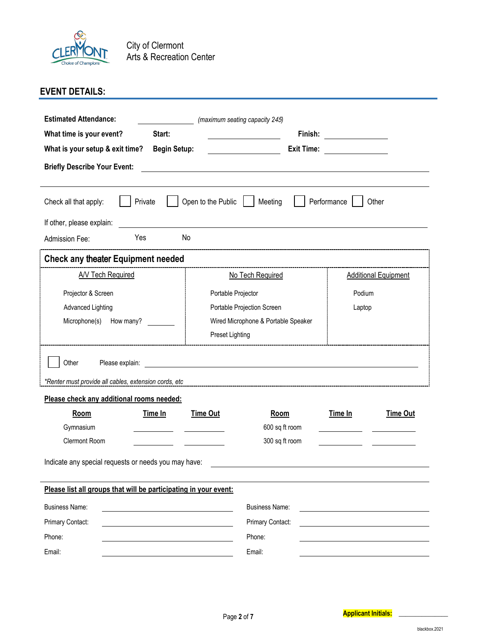

City of Clermont Arts & Recreation Center

## **EVENT DETAILS:**

| <b>Estimated Attendance:</b>                                                                       |                     |                    | (maximum seating capacity 245)      |             |                             |
|----------------------------------------------------------------------------------------------------|---------------------|--------------------|-------------------------------------|-------------|-----------------------------|
| What time is your event?                                                                           | Start:              |                    | Finish:                             |             |                             |
| What is your setup & exit time?                                                                    | <b>Begin Setup:</b> |                    | <b>Exit Time:</b>                   |             |                             |
| <b>Briefly Describe Your Event:</b>                                                                |                     |                    |                                     |             |                             |
| Check all that apply:                                                                              | Private             | Open to the Public | Meeting                             | Performance | Other                       |
| If other, please explain:                                                                          |                     |                    |                                     |             |                             |
| Admission Fee:                                                                                     | Yes                 | No                 |                                     |             |                             |
| <b>Check any theater Equipment needed</b>                                                          |                     |                    |                                     |             |                             |
| <b>A/V Tech Required</b>                                                                           |                     |                    | No Tech Required                    |             | <b>Additional Equipment</b> |
| Projector & Screen                                                                                 |                     |                    | Portable Projector                  | Podium      |                             |
| <b>Advanced Lighting</b>                                                                           |                     |                    | Portable Projection Screen          | Laptop      |                             |
| Microphone(s)                                                                                      | How many?           |                    | Wired Microphone & Portable Speaker |             |                             |
|                                                                                                    |                     | Preset Lighting    |                                     |             |                             |
| Other<br>Please explain:                                                                           |                     |                    |                                     |             |                             |
| *Renter must provide all cables, extension cords, etc<br>Please check any additional rooms needed: |                     |                    |                                     |             |                             |
| <b>Room</b>                                                                                        | Time In             | <b>Time Out</b>    | Room                                | Time In     | <b>Time Out</b>             |
| Gymnasium                                                                                          |                     |                    | 600 sq ft room                      |             |                             |
| Clermont Room                                                                                      |                     |                    | 300 sq ft room                      |             |                             |
| Indicate any special requests or needs you may have:                                               |                     |                    |                                     |             |                             |
| Please list all groups that will be participating in your event:                                   |                     |                    |                                     |             |                             |
| <b>Business Name:</b>                                                                              |                     |                    | <b>Business Name:</b>               |             |                             |
| Primary Contact:                                                                                   |                     |                    | Primary Contact:                    |             |                             |
| Phone:                                                                                             |                     |                    | Phone:                              |             |                             |
| Email:                                                                                             |                     |                    | Email:                              |             |                             |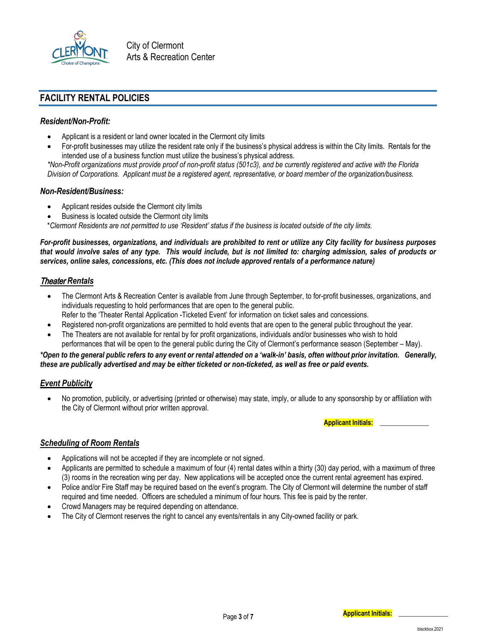

City of Clermont Arts & Recreation Center

#### **FACILITY RENTAL POLICIES**

#### *Resident/Non-Profit:*

- Applicant is a resident or land owner located in the Clermont city limits
- For-profit businesses may utilize the resident rate only if the business's physical address is within the City limits. Rentals for the intended use of a business function must utilize the business's physical address.

*\*Non-Profit organizations must provide proof of non-profit status (501c3), and be currently registered and active with the Florida Division of Corporations. Applicant must be a registered agent, representative, or board member of the organization/business.*

#### *Non-Resident/Business:*

- Applicant resides outside the Clermont city limits
- Business is located outside the Clermont city limits

\**Clermont Residents are not permitted to use 'Resident' status if the business is located outside of the city limits.*

*For-profit businesses, organizations, and individuals are prohibited to rent or utilize any City facility for business purposes that would involve sales of any type. This would include, but is not limited to: charging admission, sales of products or services, online sales, concessions, etc. (This does not include approved rentals of a performance nature)* 

#### Theater *Rentals*

- The Clermont Arts & Recreation Center is available from June through September, to for-profit businesses, organizations, and individuals requesting to hold performances that are open to the general public.
- Refer to the 'Theater Rental Application -Ticketed Event' for information on ticket sales and concessions.
- Registered non-profit organizations are permitted to hold events that are open to the general public throughout the year.
- The Theaters are not available for rental by for profit organizations, individuals and/or businesses who wish to hold performances that will be open to the general public during the City of Clermont's performance season (September – May).

*\*Open to the general public refers to any event or rental attended on a 'walk-in' basis, often without prior invitation. Generally, these are publically advertised and may be either ticketed or non-ticketed, as well as free or paid events.*

#### *Event Publicity*

• No promotion, publicity, or advertising (printed or otherwise) may state, imply, or allude to any sponsorship by or affiliation with the City of Clermont without prior written approval.

**Applicant Initials: \_\_\_\_\_\_\_\_\_\_\_\_\_\_\_**

#### *Scheduling of Room Rentals*

- Applications will not be accepted if they are incomplete or not signed.
- Applicants are permitted to schedule a maximum of four (4) rental dates within a thirty (30) day period, with a maximum of three (3) rooms in the recreation wing per day. New applications will be accepted once the current rental agreement has expired.
- Police and/or Fire Staff may be required based on the event's program. The City of Clermont will determine the number of staff required and time needed. Officers are scheduled a minimum of four hours. This fee is paid by the renter.
- Crowd Managers may be required depending on attendance.
- The City of Clermont reserves the right to cancel any events/rentals in any City-owned facility or park.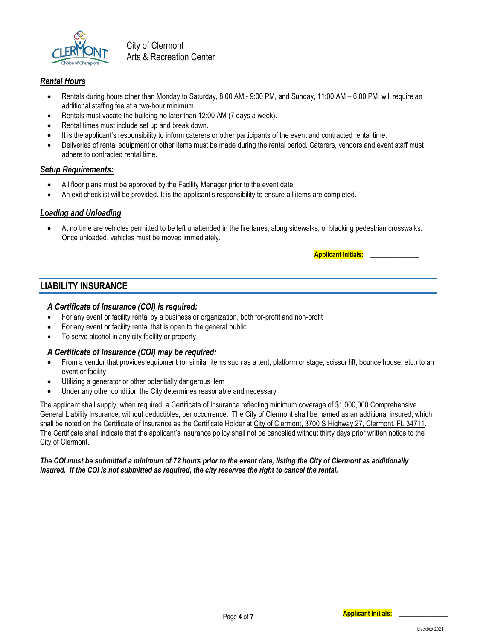

City of Clermont Arts & Recreation Center

#### *Rental Hours*

- Rentals during hours other than Monday to Saturday, 8:00 AM 9:00 PM, and Sunday, 11:00 AM 6:00 PM, will require an additional staffing fee at a two-hour minimum.
- Rentals must vacate the building no later than 12:00 AM (7 days a week).
- Rental times must include set up and break down.
- It is the applicant's responsibility to inform caterers or other participants of the event and contracted rental time.
- Deliveries of rental equipment or other items must be made during the rental period. Caterers, vendors and event staff must adhere to contracted rental time.

#### *Setup Requirements:*

- All floor plans must be approved by the Facility Manager prior to the event date.
- An exit checklist will be provided. It is the applicant's responsibility to ensure all items are completed.

#### *Loading and Unloading*

• At no time are vehicles permitted to be left unattended in the fire lanes, along sidewalks, or blacking pedestrian crosswalks. Once unloaded, vehicles must be moved immediately.

**Applicant Initials: \_\_\_\_\_\_\_\_\_\_\_\_\_\_\_**

#### **LIABILITY INSURANCE**

#### *A Certificate of Insurance (COI) is required:*

- For any event or facility rental by a business or organization, both for-profit and non-profit
- For any event or facility rental that is open to the general public
- To serve alcohol in any city facility or property

#### *A Certificate of Insurance (COI) may be required:*

- From a vendor that provides equipment (or similar items such as a tent, platform or stage, scissor lift, bounce house, etc.) to an event or facility
- Utilizing a generator or other potentially dangerous item
- Under any other condition the City determines reasonable and necessary

The applicant shall supply, when required, a Certificate of Insurance reflecting minimum coverage of \$1,000,000 Comprehensive General Liability Insurance, without deductibles, per occurrence. The City of Clermont shall be named as an additional insured, which shall be noted on the Certificate of Insurance as the Certificate Holder at City of Clermont, 3700 S Highway 27, Clermont, FL 34711. The Certificate shall indicate that the applicant's insurance policy shall not be cancelled without thirty days prior written notice to the City of Clermont.

#### *The COI must be submitted a minimum of 72 hours prior to the event date, listing the City of Clermont as additionally insured. If the COI is not submitted as required, the city reserves the right to cancel the rental.*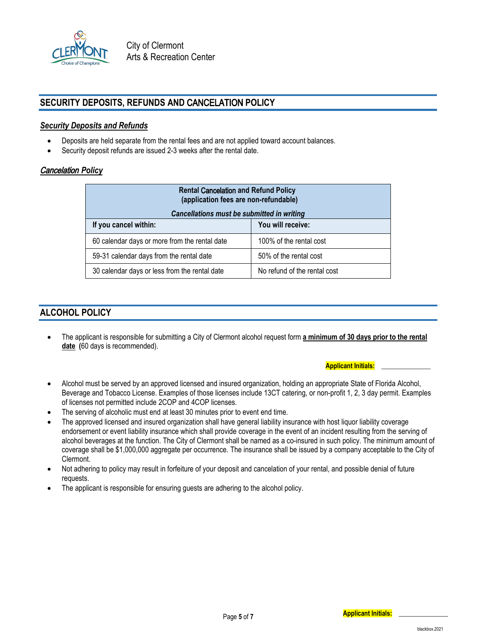

### **SECURITY DEPOSITS, REFUNDS AND** CANCELATION **POLICY**

#### *Security Deposits and Refunds*

- Deposits are held separate from the rental fees and are not applied toward account balances.
- Security deposit refunds are issued 2-3 weeks after the rental date.

#### Cancelation *Policy*

| <b>Rental Cancelation and Refund Policy</b><br>(application fees are non-refundable)<br>Cancellations must be submitted in writing |                         |  |  |
|------------------------------------------------------------------------------------------------------------------------------------|-------------------------|--|--|
| If you cancel within:                                                                                                              | You will receive:       |  |  |
| 60 calendar days or more from the rental date                                                                                      | 100% of the rental cost |  |  |
| 59-31 calendar days from the rental date                                                                                           | 50% of the rental cost  |  |  |
| No refund of the rental cost<br>30 calendar days or less from the rental date                                                      |                         |  |  |

#### **ALCOHOL POLICY**

• The applicant is responsible for submitting a City of Clermont alcohol request form **a minimum of 30 days prior to the rental date (**60 days is recommended).

- Alcohol must be served by an approved licensed and insured organization, holding an appropriate State of Florida Alcohol, Beverage and Tobacco License. Examples of those licenses include 13CT catering, or non-profit 1, 2, 3 day permit. Examples of licenses not permitted include 2COP and 4COP licenses.
- The serving of alcoholic must end at least 30 minutes prior to event end time.
- The approved licensed and insured organization shall have general liability insurance with host liquor liability coverage endorsement or event liability insurance which shall provide coverage in the event of an incident resulting from the serving of alcohol beverages at the function. The City of Clermont shall be named as a co-insured in such policy. The minimum amount of coverage shall be \$1,000,000 aggregate per occurrence. The insurance shall be issued by a company acceptable to the City of Clermont.
- Not adhering to policy may result in forfeiture of your deposit and cancelation of your rental, and possible denial of future requests.
- The applicant is responsible for ensuring guests are adhering to the alcohol policy.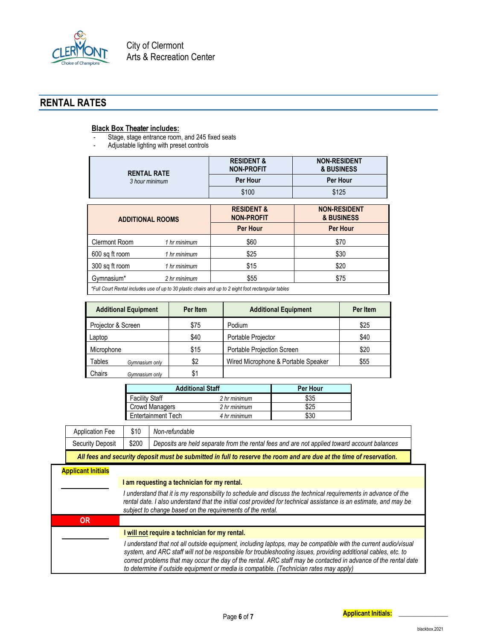

## **RENTAL RATES**

#### **Black Box** Theater **includes:**

- Stage, stage entrance room, and 245 fixed seats<br>- Adjustable lighting with preset controls
- Adjustable lighting with preset controls

| <b>RENTAL RATE</b><br>3 hour minimum | <b>RESIDENT &amp;</b><br><b>NON-PROFIT</b> | <b>NON-RESIDENT</b><br>& BUSINESS |
|--------------------------------------|--------------------------------------------|-----------------------------------|
|                                      | <b>Per Hour</b>                            | Per Hour                          |
|                                      | \$100                                      | \$125                             |

| <b>ADDITIONAL ROOMS</b>                                                                              |              | <b>RESIDENT &amp;</b><br><b>NON-PROFIT</b> | <b>NON-RESIDENT</b><br>& BUSINESS |  |
|------------------------------------------------------------------------------------------------------|--------------|--------------------------------------------|-----------------------------------|--|
|                                                                                                      |              | <b>Per Hour</b>                            | <b>Per Hour</b>                   |  |
| <b>Clermont Room</b>                                                                                 | 1 hr minimum | \$60                                       | \$70                              |  |
| 600 sq ft room                                                                                       | 1 hr minimum | \$25                                       | \$30                              |  |
| 300 sq ft room                                                                                       | 1 hr minimum | \$15                                       | \$20                              |  |
| Gymnasium*                                                                                           | 2 hr minimum | \$55                                       | \$75                              |  |
| *Eull Court Pontal includes use of up to 20 plostic chaire and up to 2 sight foot restangular tobles |              |                                            |                                   |  |

*\*Full Court Rental includes use of up to 30 plastic chairs and up to 2 eight foot rectangular tables*

| <b>Additional Equipment</b> | Per Item | <b>Additional Equipment</b>         | Per Item |
|-----------------------------|----------|-------------------------------------|----------|
| Projector & Screen          | \$75     | Podium                              | \$25     |
| Laptop                      | \$40     | Portable Projector                  | \$40     |
| Microphone                  | \$15     | Portable Projection Screen          | \$20     |
| Tables<br>Gymnasium only    | \$2      | Wired Microphone & Portable Speaker | \$55     |
| Chairs<br>Gymnasium only    | \$1      |                                     |          |

| <b>Additional Staff</b>   | Per Hour     |      |
|---------------------------|--------------|------|
| <b>Facility Staff</b>     | 2 hr minimum | \$35 |
| <b>Crowd Managers</b>     | 2 hr minimum | \$25 |
| <b>Entertainment Tech</b> | 4 hr minimum | \$3C |

| Application Fee                                                                                                    | \$10  | Non-refundable                                                                              |
|--------------------------------------------------------------------------------------------------------------------|-------|---------------------------------------------------------------------------------------------|
| Security Deposit                                                                                                   | \$200 | Deposits are held separate from the rental fees and are not applied toward account balances |
| All foos and security donosit must be submitted in full to reserve the room and are due at the time of reservation |       |                                                                                             |

*All fees and security deposit must be submitted in full to reserve the room and are due at the time of reservation.*

## **Applicant Initials**

| I am requesting a technician for my rental. |  |
|---------------------------------------------|--|
|---------------------------------------------|--|

|    | I understand that it is my responsibility to schedule and discuss the technical requirements in advance of the<br>rental date. I also understand that the initial cost provided for technical assistance is an estimate, and may be<br>subject to change based on the requirements of the rental. |
|----|---------------------------------------------------------------------------------------------------------------------------------------------------------------------------------------------------------------------------------------------------------------------------------------------------|
| OR |                                                                                                                                                                                                                                                                                                   |
|    |                                                                                                                                                                                                                                                                                                   |
|    | I will not require a technician for my rental.                                                                                                                                                                                                                                                    |

*to determine if outside equipment or media is compatible. (Technician rates may apply)*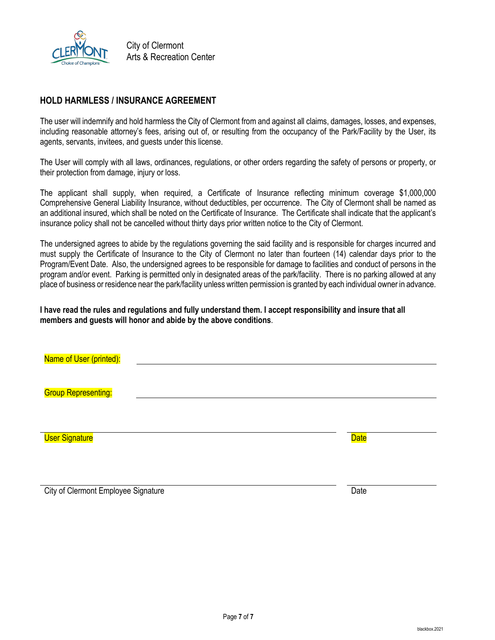

#### **HOLD HARMLESS / INSURANCE AGREEMENT**

The user will indemnify and hold harmless the City of Clermont from and against all claims, damages, losses, and expenses, including reasonable attorney's fees, arising out of, or resulting from the occupancy of the Park/Facility by the User, its agents, servants, invitees, and guests under this license.

The User will comply with all laws, ordinances, regulations, or other orders regarding the safety of persons or property, or their protection from damage, injury or loss.

The applicant shall supply, when required, a Certificate of Insurance reflecting minimum coverage \$1,000,000 Comprehensive General Liability Insurance, without deductibles, per occurrence. The City of Clermont shall be named as an additional insured, which shall be noted on the Certificate of Insurance. The Certificate shall indicate that the applicant's insurance policy shall not be cancelled without thirty days prior written notice to the City of Clermont.

The undersigned agrees to abide by the regulations governing the said facility and is responsible for charges incurred and must supply the Certificate of Insurance to the City of Clermont no later than fourteen (14) calendar days prior to the Program/Event Date. Also, the undersigned agrees to be responsible for damage to facilities and conduct of persons in the program and/or event. Parking is permitted only in designated areas of the park/facility. There is no parking allowed at any place of business or residence near the park/facility unless written permission is granted by each individual owner in advance.

**I have read the rules and regulations and fully understand them. I accept responsibility and insure that all members and guests will honor and abide by the above conditions**.

| Name of User (printed):    |  |             |
|----------------------------|--|-------------|
|                            |  |             |
| <b>Group Representing:</b> |  |             |
|                            |  |             |
|                            |  |             |
| <b>User Signature</b>      |  | <b>Date</b> |
|                            |  |             |
|                            |  |             |
|                            |  |             |

City of Clermont Employee Signature **Date** Date of Clermont Employee Signature Date